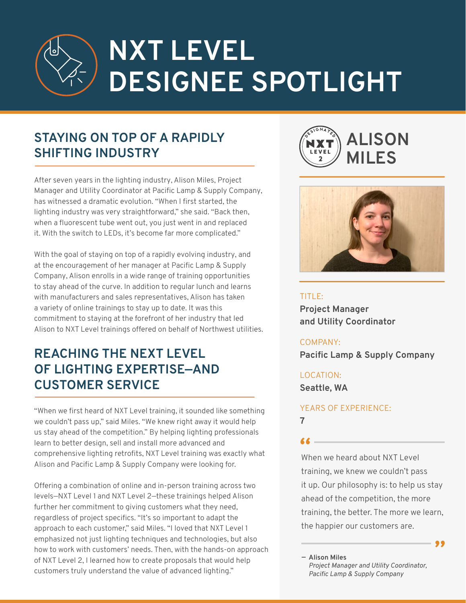# **NXT LEVEL DESIGNEE SPOTLIGHT**

# **STAYING ON TOP OF A RAPIDLY SHIFTING INDUSTRY**

After seven years in the lighting industry, Alison Miles, Project Manager and Utility Coordinator at Pacific Lamp & Supply Company, has witnessed a dramatic evolution. "When I first started, the lighting industry was very straightforward," she said. "Back then, when a fluorescent tube went out, you just went in and replaced it. With the switch to LEDs, it's become far more complicated."

With the goal of staying on top of a rapidly evolving industry, and at the encouragement of her manager at Pacific Lamp & Supply Company, Alison enrolls in a wide range of training opportunities to stay ahead of the curve. In addition to regular lunch and learns with manufacturers and sales representatives, Alison has taken a variety of online trainings to stay up to date. It was this commitment to staying at the forefront of her industry that led Alison to NXT Level trainings offered on behalf of Northwest utilities.

# **REACHING THE NEXT LEVEL OF LIGHTING EXPERTISE—AND CUSTOMER SERVICE**

"When we first heard of NXT Level training, it sounded like something we couldn't pass up," said Miles. "We knew right away it would help us stay ahead of the competition." By helping lighting professionals learn to better design, sell and install more advanced and comprehensive lighting retrofits, NXT Level training was exactly what Alison and Pacific Lamp & Supply Company were looking for.

Offering a combination of online and in-person training across two levels—NXT Level 1 and NXT Level 2—these trainings helped Alison further her commitment to giving customers what they need, regardless of project specifics. "It's so important to adapt the approach to each customer," said Miles. "I loved that NXT Level 1 emphasized not just lighting techniques and technologies, but also how to work with customers' needs. Then, with the hands-on approach of NXT Level 2, I learned how to create proposals that would help customers truly understand the value of advanced lighting."





TITLE: **Project Manager and Utility Coordinator**

#### COMPANY:

**Pacific Lamp & Supply Company**

### LOCATION:

**Seattle, WA**

#### YEARS OF EXPERIENCE: **7**

**"** When we heard about NXT Level training, we knew we couldn't pass it up. Our philosophy is: to help us stay ahead of the competition, the more training, the better. The more we learn, the happier our customers are.

**"**

**Alison Miles —**

*Project Manager and Utility Coordinator, Pacific Lamp & Supply Company*